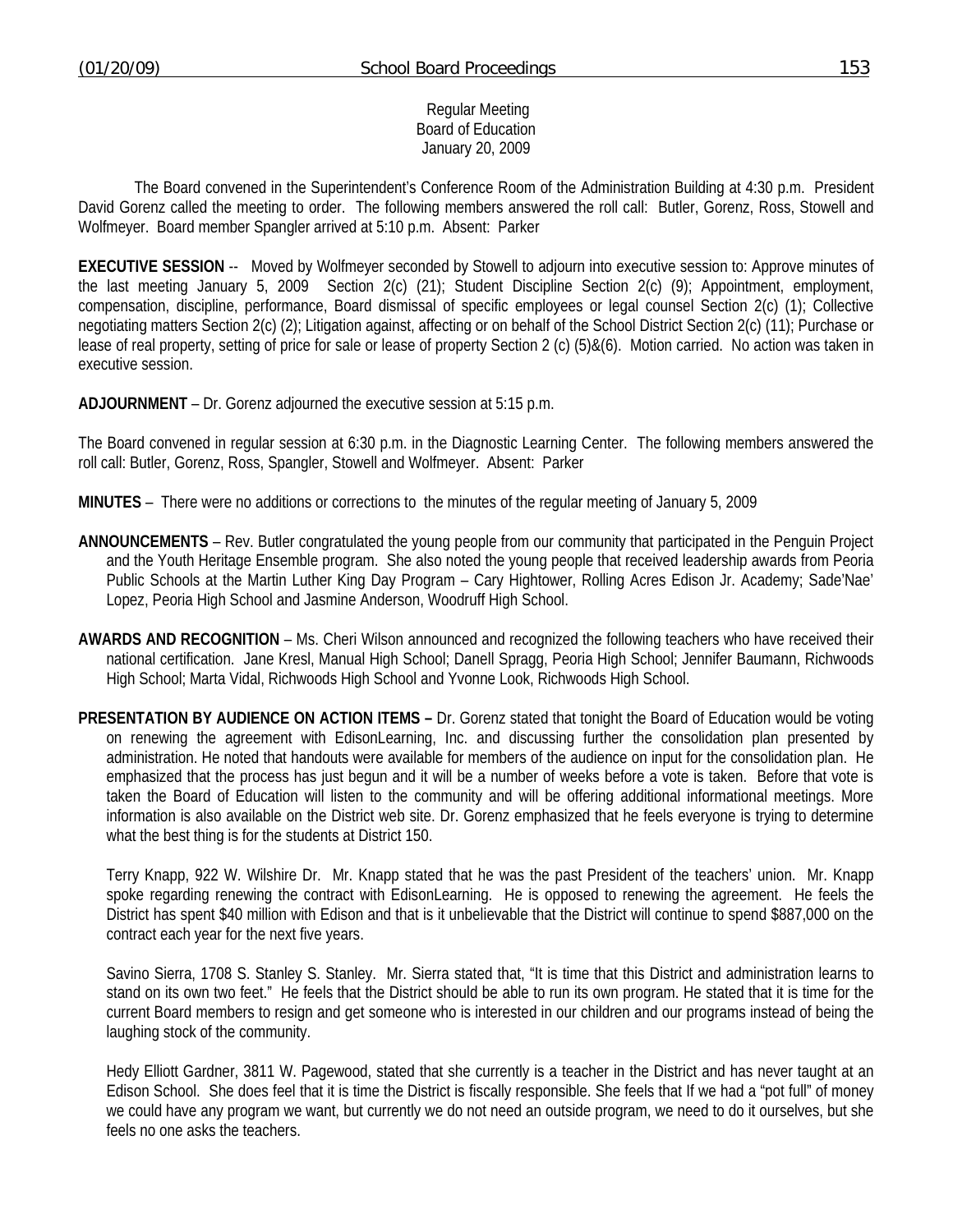## Regular Meeting Board of Education January 20, 2009

 The Board convened in the Superintendent's Conference Room of the Administration Building at 4:30 p.m. President David Gorenz called the meeting to order. The following members answered the roll call: Butler, Gorenz, Ross, Stowell and Wolfmeyer. Board member Spangler arrived at 5:10 p.m. Absent: Parker

**EXECUTIVE SESSION** -- Moved by Wolfmeyer seconded by Stowell to adjourn into executive session to: Approve minutes of the last meeting January 5, 2009 Section 2(c) (21); Student Discipline Section 2(c) (9); Appointment, employment, compensation, discipline, performance, Board dismissal of specific employees or legal counsel Section 2(c) (1); Collective negotiating matters Section 2(c) (2); Litigation against, affecting or on behalf of the School District Section 2(c) (11); Purchase or lease of real property, setting of price for sale or lease of property Section 2 (c) (5)&(6). Motion carried. No action was taken in executive session.

**ADJOURNMENT** – Dr. Gorenz adjourned the executive session at 5:15 p.m.

The Board convened in regular session at 6:30 p.m. in the Diagnostic Learning Center. The following members answered the roll call: Butler, Gorenz, Ross, Spangler, Stowell and Wolfmeyer. Absent: Parker

**MINUTES** – There were no additions or corrections to the minutes of the regular meeting of January 5, 2009

- **ANNOUNCEMENTS** Rev. Butler congratulated the young people from our community that participated in the Penguin Project and the Youth Heritage Ensemble program. She also noted the young people that received leadership awards from Peoria Public Schools at the Martin Luther King Day Program – Cary Hightower, Rolling Acres Edison Jr. Academy; Sade'Nae' Lopez, Peoria High School and Jasmine Anderson, Woodruff High School.
- **AWARDS AND RECOGNITION** Ms. Cheri Wilson announced and recognized the following teachers who have received their national certification. Jane Kresl, Manual High School; Danell Spragg, Peoria High School; Jennifer Baumann, Richwoods High School; Marta Vidal, Richwoods High School and Yvonne Look, Richwoods High School.
- **PRESENTATION BY AUDIENCE ON ACTION ITEMS** Dr. Gorenz stated that tonight the Board of Education would be voting on renewing the agreement with EdisonLearning, Inc. and discussing further the consolidation plan presented by administration. He noted that handouts were available for members of the audience on input for the consolidation plan. He emphasized that the process has just begun and it will be a number of weeks before a vote is taken. Before that vote is taken the Board of Education will listen to the community and will be offering additional informational meetings. More information is also available on the District web site. Dr. Gorenz emphasized that he feels everyone is trying to determine what the best thing is for the students at District 150.

 Terry Knapp, 922 W. Wilshire Dr. Mr. Knapp stated that he was the past President of the teachers' union. Mr. Knapp spoke regarding renewing the contract with EdisonLearning. He is opposed to renewing the agreement. He feels the District has spent \$40 million with Edison and that is it unbelievable that the District will continue to spend \$887,000 on the contract each year for the next five years.

 Savino Sierra, 1708 S. Stanley S. Stanley. Mr. Sierra stated that, "It is time that this District and administration learns to stand on its own two feet." He feels that the District should be able to run its own program. He stated that it is time for the current Board members to resign and get someone who is interested in our children and our programs instead of being the laughing stock of the community.

 Hedy Elliott Gardner, 3811 W. Pagewood, stated that she currently is a teacher in the District and has never taught at an Edison School. She does feel that it is time the District is fiscally responsible. She feels that If we had a "pot full" of money we could have any program we want, but currently we do not need an outside program, we need to do it ourselves, but she feels no one asks the teachers.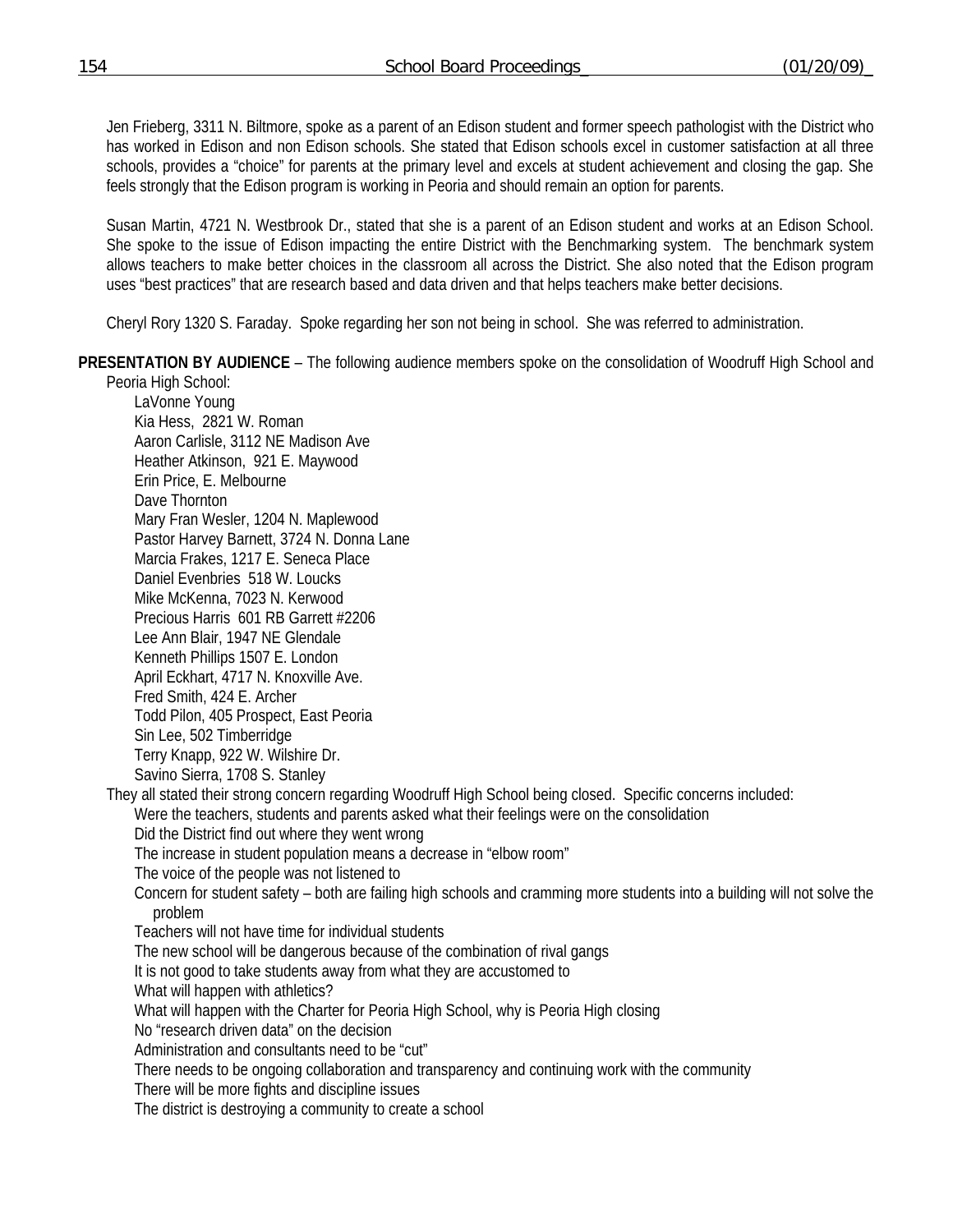Jen Frieberg, 3311 N. Biltmore, spoke as a parent of an Edison student and former speech pathologist with the District who has worked in Edison and non Edison schools. She stated that Edison schools excel in customer satisfaction at all three schools, provides a "choice" for parents at the primary level and excels at student achievement and closing the gap. She feels strongly that the Edison program is working in Peoria and should remain an option for parents.

 Susan Martin, 4721 N. Westbrook Dr., stated that she is a parent of an Edison student and works at an Edison School. She spoke to the issue of Edison impacting the entire District with the Benchmarking system. The benchmark system allows teachers to make better choices in the classroom all across the District. She also noted that the Edison program uses "best practices" that are research based and data driven and that helps teachers make better decisions.

Cheryl Rory 1320 S. Faraday. Spoke regarding her son not being in school. She was referred to administration.

**PRESENTATION BY AUDIENCE** – The following audience members spoke on the consolidation of Woodruff High School and

Peoria High School: LaVonne Young Kia Hess, 2821 W. Roman Aaron Carlisle, 3112 NE Madison Ave Heather Atkinson, 921 E. Maywood Erin Price, E. Melbourne Dave Thornton Mary Fran Wesler, 1204 N. Maplewood Pastor Harvey Barnett, 3724 N. Donna Lane Marcia Frakes, 1217 E. Seneca Place Daniel Evenbries 518 W. Loucks Mike McKenna, 7023 N. Kerwood Precious Harris 601 RB Garrett #2206 Lee Ann Blair, 1947 NE Glendale Kenneth Phillips 1507 E. London April Eckhart, 4717 N. Knoxville Ave. Fred Smith, 424 E. Archer Todd Pilon, 405 Prospect, East Peoria Sin Lee, 502 Timberridge Terry Knapp, 922 W. Wilshire Dr. Savino Sierra, 1708 S. Stanley They all stated their strong concern regarding Woodruff High School being closed. Specific concerns included: Were the teachers, students and parents asked what their feelings were on the consolidation Did the District find out where they went wrong The increase in student population means a decrease in "elbow room" The voice of the people was not listened to Concern for student safety – both are failing high schools and cramming more students into a building will not solve the problem Teachers will not have time for individual students The new school will be dangerous because of the combination of rival gangs It is not good to take students away from what they are accustomed to What will happen with athletics? What will happen with the Charter for Peoria High School, why is Peoria High closing No "research driven data" on the decision Administration and consultants need to be "cut" There needs to be ongoing collaboration and transparency and continuing work with the community There will be more fights and discipline issues The district is destroying a community to create a school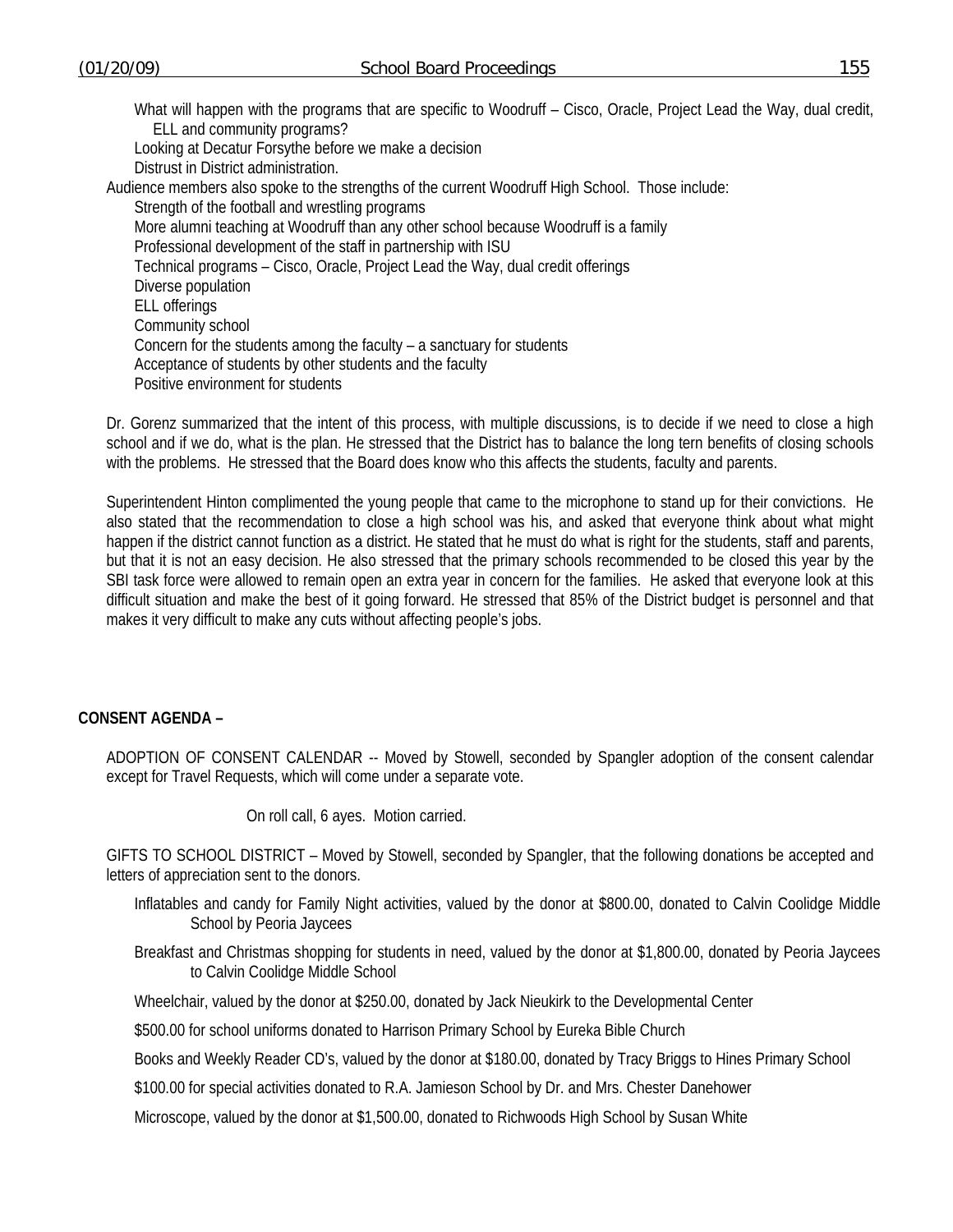What will happen with the programs that are specific to Woodruff – Cisco, Oracle, Project Lead the Way, dual credit, ELL and community programs? Looking at Decatur Forsythe before we make a decision Distrust in District administration. Audience members also spoke to the strengths of the current Woodruff High School. Those include: Strength of the football and wrestling programs More alumni teaching at Woodruff than any other school because Woodruff is a family Professional development of the staff in partnership with ISU

Technical programs – Cisco, Oracle, Project Lead the Way, dual credit offerings

Diverse population

ELL offerings

Community school

Concern for the students among the faculty – a sanctuary for students

Acceptance of students by other students and the faculty

Positive environment for students

Dr. Gorenz summarized that the intent of this process, with multiple discussions, is to decide if we need to close a high school and if we do, what is the plan. He stressed that the District has to balance the long tern benefits of closing schools with the problems. He stressed that the Board does know who this affects the students, faculty and parents.

Superintendent Hinton complimented the young people that came to the microphone to stand up for their convictions. He also stated that the recommendation to close a high school was his, and asked that everyone think about what might happen if the district cannot function as a district. He stated that he must do what is right for the students, staff and parents, but that it is not an easy decision. He also stressed that the primary schools recommended to be closed this year by the SBI task force were allowed to remain open an extra year in concern for the families. He asked that everyone look at this difficult situation and make the best of it going forward. He stressed that 85% of the District budget is personnel and that makes it very difficult to make any cuts without affecting people's jobs.

## **CONSENT AGENDA –**

ADOPTION OF CONSENT CALENDAR -- Moved by Stowell, seconded by Spangler adoption of the consent calendar except for Travel Requests, which will come under a separate vote.

On roll call, 6 ayes. Motion carried.

GIFTS TO SCHOOL DISTRICT – Moved by Stowell, seconded by Spangler, that the following donations be accepted and letters of appreciation sent to the donors.

- Inflatables and candy for Family Night activities, valued by the donor at \$800.00, donated to Calvin Coolidge Middle School by Peoria Jaycees
- Breakfast and Christmas shopping for students in need, valued by the donor at \$1,800.00, donated by Peoria Jaycees to Calvin Coolidge Middle School

Wheelchair, valued by the donor at \$250.00, donated by Jack Nieukirk to the Developmental Center

\$500.00 for school uniforms donated to Harrison Primary School by Eureka Bible Church

Books and Weekly Reader CD's, valued by the donor at \$180.00, donated by Tracy Briggs to Hines Primary School

\$100.00 for special activities donated to R.A. Jamieson School by Dr. and Mrs. Chester Danehower

Microscope, valued by the donor at \$1,500.00, donated to Richwoods High School by Susan White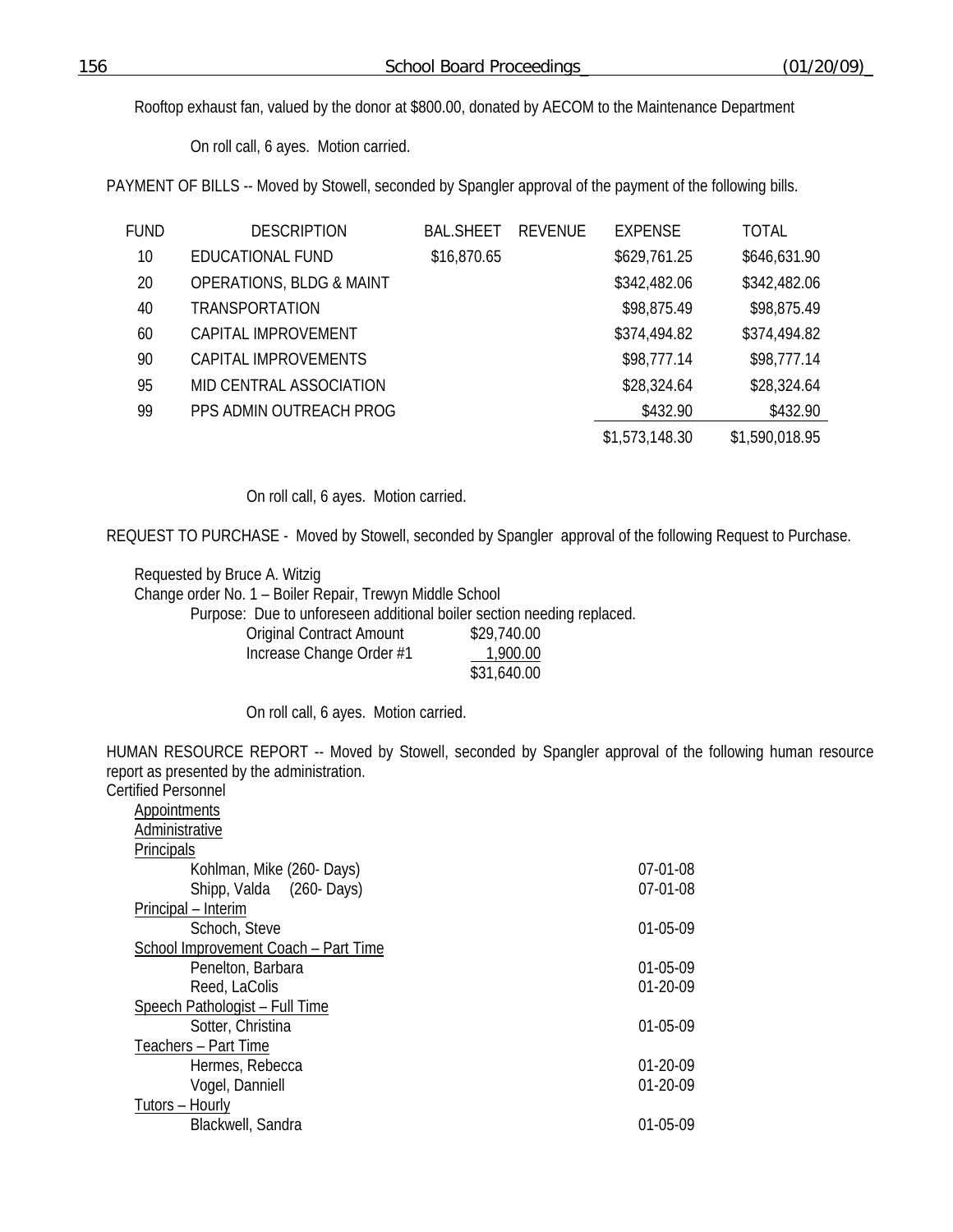Rooftop exhaust fan, valued by the donor at \$800.00, donated by AECOM to the Maintenance Department

On roll call, 6 ayes. Motion carried.

PAYMENT OF BILLS -- Moved by Stowell, seconded by Spangler approval of the payment of the following bills.

| FUND | <b>DESCRIPTION</b>                  | <b>BAL.SHEET</b> | <b>REVENUE</b> | <b>EXPENSE</b> | <b>TOTAL</b>   |
|------|-------------------------------------|------------------|----------------|----------------|----------------|
| 10   | EDUCATIONAL FUND                    | \$16,870.65      |                | \$629,761.25   | \$646,631.90   |
| 20   | <b>OPERATIONS, BLDG &amp; MAINT</b> |                  |                | \$342,482.06   | \$342,482.06   |
| 40   | <b>TRANSPORTATION</b>               |                  |                | \$98,875.49    | \$98,875.49    |
| 60   | CAPITAL IMPROVEMENT                 |                  |                | \$374,494.82   | \$374,494.82   |
| 90   | CAPITAL IMPROVEMENTS                |                  |                | \$98,777.14    | \$98,777.14    |
| 95   | MID CENTRAL ASSOCIATION             |                  |                | \$28,324.64    | \$28,324.64    |
| 99   | PPS ADMIN OUTREACH PROG             |                  |                | \$432.90       | \$432.90       |
|      |                                     |                  |                | \$1,573,148.30 | \$1,590,018.95 |

On roll call, 6 ayes. Motion carried.

REQUEST TO PURCHASE - Moved by Stowell, seconded by Spangler approval of the following Request to Purchase.

 Requested by Bruce A. Witzig Change order No. 1 – Boiler Repair, Trewyn Middle School Purpose: Due to unforeseen additional boiler section needing replaced. Original Contract Amount \$29,740.00<br>Increase Change Order #1 1 1,000,000 Increase Change Order #1

| $\mu$ ing casa Chianga Oruan $\pi$ i | 1,700.00    |
|--------------------------------------|-------------|
|                                      | \$31,640.00 |
|                                      |             |

On roll call, 6 ayes. Motion carried.

HUMAN RESOURCE REPORT -- Moved by Stowell, seconded by Spangler approval of the following human resource report as presented by the administration. Cer

| <b>Certified Personnel</b>           |                |
|--------------------------------------|----------------|
| Appointments                         |                |
| Administrative                       |                |
| Principals                           |                |
| Kohlman, Mike (260- Days)            | $07-01-08$     |
| Shipp, Valda (260-Days)              | $07-01-08$     |
| Principal – Interim                  |                |
| Schoch, Steve                        | 01-05-09       |
| School Improvement Coach - Part Time |                |
| Penelton, Barbara                    | 01-05-09       |
| Reed, LaColis                        | 01-20-09       |
| Speech Pathologist - Full Time       |                |
| Sotter, Christina                    | 01-05-09       |
| Teachers - Part Time                 |                |
| Hermes, Rebecca                      | $01 - 20 - 09$ |
| Vogel, Danniell                      | $01 - 20 - 09$ |
| Tutors - Hourly                      |                |
| Blackwell, Sandra                    | 01-05-09       |
|                                      |                |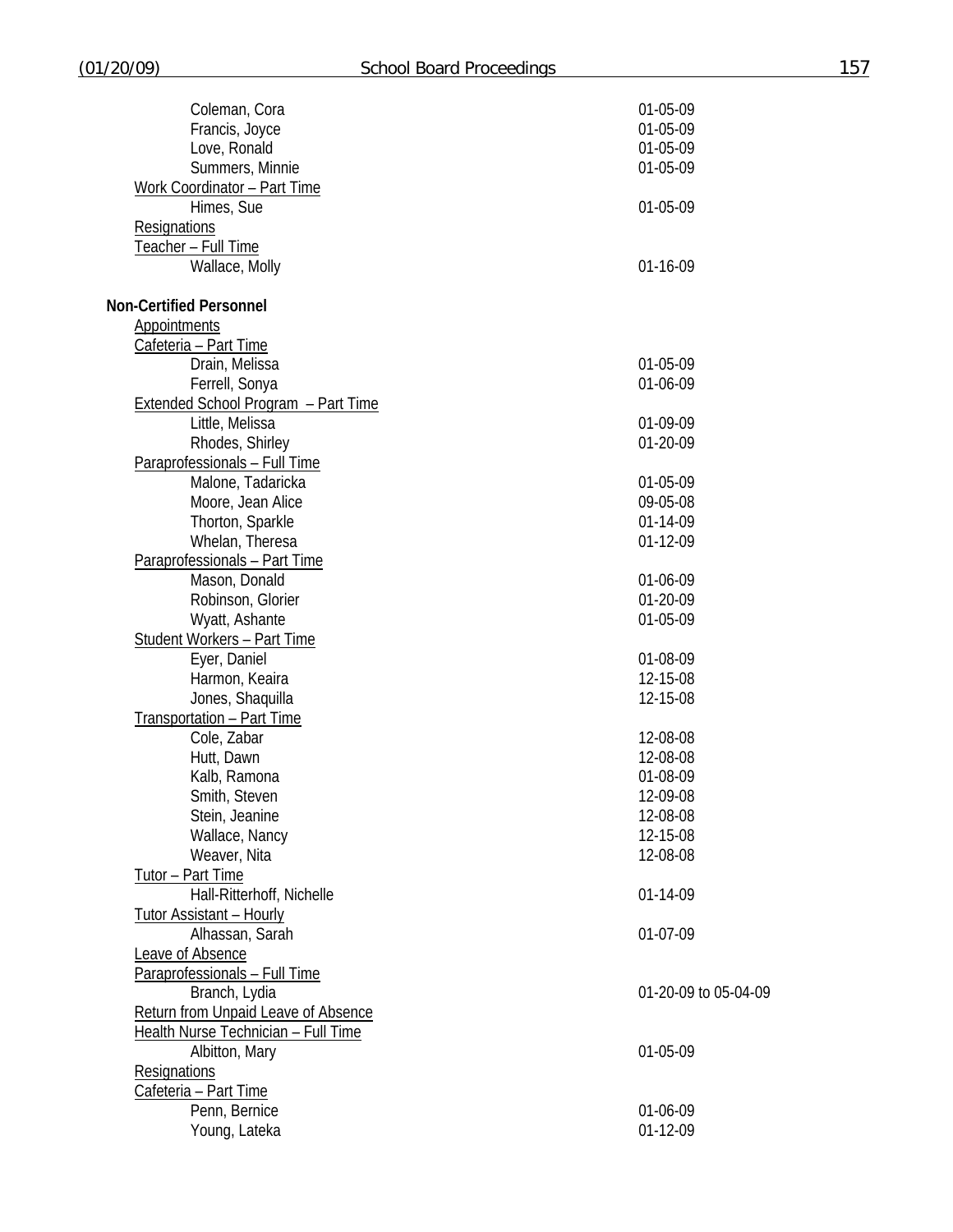| Coleman, Cora                       | 01-05-09             |
|-------------------------------------|----------------------|
| Francis, Joyce                      | 01-05-09             |
| Love, Ronald                        | 01-05-09             |
| Summers, Minnie                     | 01-05-09             |
| Work Coordinator - Part Time        |                      |
| Himes, Sue                          | 01-05-09             |
| <b>Resignations</b>                 |                      |
| Teacher - Full Time                 |                      |
| Wallace, Molly                      | 01-16-09             |
|                                     |                      |
| <b>Non-Certified Personnel</b>      |                      |
| <b>Appointments</b>                 |                      |
| Cafeteria - Part Time               |                      |
| Drain, Melissa                      | 01-05-09             |
|                                     |                      |
| Ferrell, Sonya                      | 01-06-09             |
| Extended School Program - Part Time |                      |
| Little, Melissa                     | 01-09-09             |
| Rhodes, Shirley                     | 01-20-09             |
| Paraprofessionals - Full Time       |                      |
| Malone, Tadaricka                   | 01-05-09             |
| Moore, Jean Alice                   | 09-05-08             |
| Thorton, Sparkle                    | 01-14-09             |
| Whelan, Theresa                     | 01-12-09             |
| Paraprofessionals - Part Time       |                      |
| Mason, Donald                       | 01-06-09             |
| Robinson, Glorier                   | 01-20-09             |
| Wyatt, Ashante                      | 01-05-09             |
| <b>Student Workers - Part Time</b>  |                      |
| Eyer, Daniel                        | 01-08-09             |
| Harmon, Keaira                      | 12-15-08             |
| Jones, Shaquilla                    | 12-15-08             |
| Transportation - Part Time          |                      |
| Cole, Zabar                         | 12-08-08             |
| Hutt, Dawn                          | 12-08-08             |
| Kalb, Ramona                        | 01-08-09             |
| Smith, Steven                       | 12-09-08             |
| Stein, Jeanine                      | 12-08-08             |
|                                     | 12-15-08             |
| Wallace, Nancy                      |                      |
| Weaver, Nita                        | 12-08-08             |
| Tutor - Part Time                   |                      |
| Hall-Ritterhoff, Nichelle           | 01-14-09             |
| <b>Tutor Assistant - Hourly</b>     |                      |
| Alhassan, Sarah                     | 01-07-09             |
| Leave of Absence                    |                      |
| Paraprofessionals - Full Time       |                      |
| Branch, Lydia                       | 01-20-09 to 05-04-09 |
| Return from Unpaid Leave of Absence |                      |
| Health Nurse Technician - Full Time |                      |
| Albitton, Mary                      | 01-05-09             |
| <b>Resignations</b>                 |                      |
| Cafeteria - Part Time               |                      |
| Penn, Bernice                       | 01-06-09             |
| Young, Lateka                       | 01-12-09             |
|                                     |                      |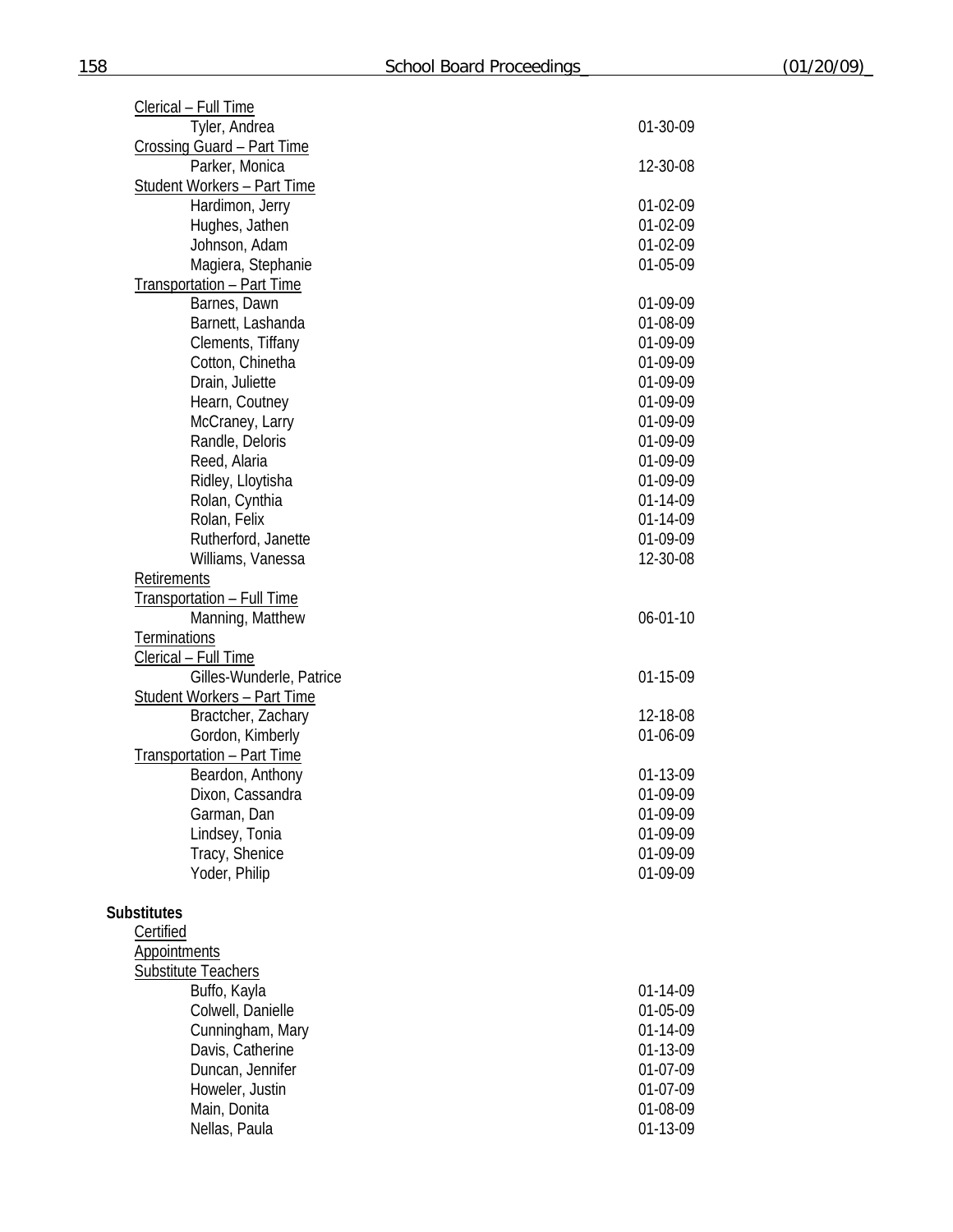| Clerical - Full Time               |                |
|------------------------------------|----------------|
| Tyler, Andrea                      | 01-30-09       |
| Crossing Guard - Part Time         |                |
| Parker, Monica                     | 12-30-08       |
| <b>Student Workers - Part Time</b> |                |
| Hardimon, Jerry                    | 01-02-09       |
| Hughes, Jathen                     | 01-02-09       |
| Johnson, Adam                      | 01-02-09       |
| Magiera, Stephanie                 | 01-05-09       |
| Transportation - Part Time         |                |
| Barnes, Dawn                       | 01-09-09       |
| Barnett, Lashanda                  | 01-08-09       |
| Clements, Tiffany                  | 01-09-09       |
| Cotton, Chinetha                   | 01-09-09       |
| Drain, Juliette                    | 01-09-09       |
| Hearn, Coutney                     | 01-09-09       |
| McCraney, Larry                    | 01-09-09       |
| Randle, Deloris                    | 01-09-09       |
| Reed, Alaria                       | 01-09-09       |
| Ridley, Lloytisha                  | 01-09-09       |
| Rolan, Cynthia                     | 01-14-09       |
| Rolan, Felix                       | 01-14-09       |
| Rutherford, Janette                | 01-09-09       |
| Williams, Vanessa                  | 12-30-08       |
| Retirements                        |                |
| <b>Transportation - Full Time</b>  |                |
| Manning, Matthew                   | $06 - 01 - 10$ |
| Terminations                       |                |
| Clerical - Full Time               |                |
| Gilles-Wunderle, Patrice           | 01-15-09       |
| <b>Student Workers - Part Time</b> |                |
| Bractcher, Zachary                 | 12-18-08       |
| Gordon, Kimberly                   | 01-06-09       |
| Transportation - Part Time         |                |
| Beardon, Anthony                   | 01-13-09       |
| Dixon, Cassandra                   | 01-09-09       |
| Garman, Dan                        | 01-09-09       |
| Lindsey, Tonia                     | 01-09-09       |
| Tracy, Shenice                     | 01-09-09       |
| Yoder, Philip                      | 01-09-09       |
|                                    |                |
| <b>Substitutes</b>                 |                |
| Certified                          |                |
| <b>Appointments</b>                |                |
| <b>Substitute Teachers</b>         |                |
| Buffo, Kayla                       | 01-14-09       |
| Colwell, Danielle                  | 01-05-09       |
| Cunningham, Mary                   | 01-14-09       |
| Davis, Catherine                   | 01-13-09       |
| Duncan, Jennifer                   | 01-07-09       |
| Howeler, Justin                    | 01-07-09       |
| Main, Donita                       | 01-08-09       |
| Nellas, Paula                      | 01-13-09       |
|                                    |                |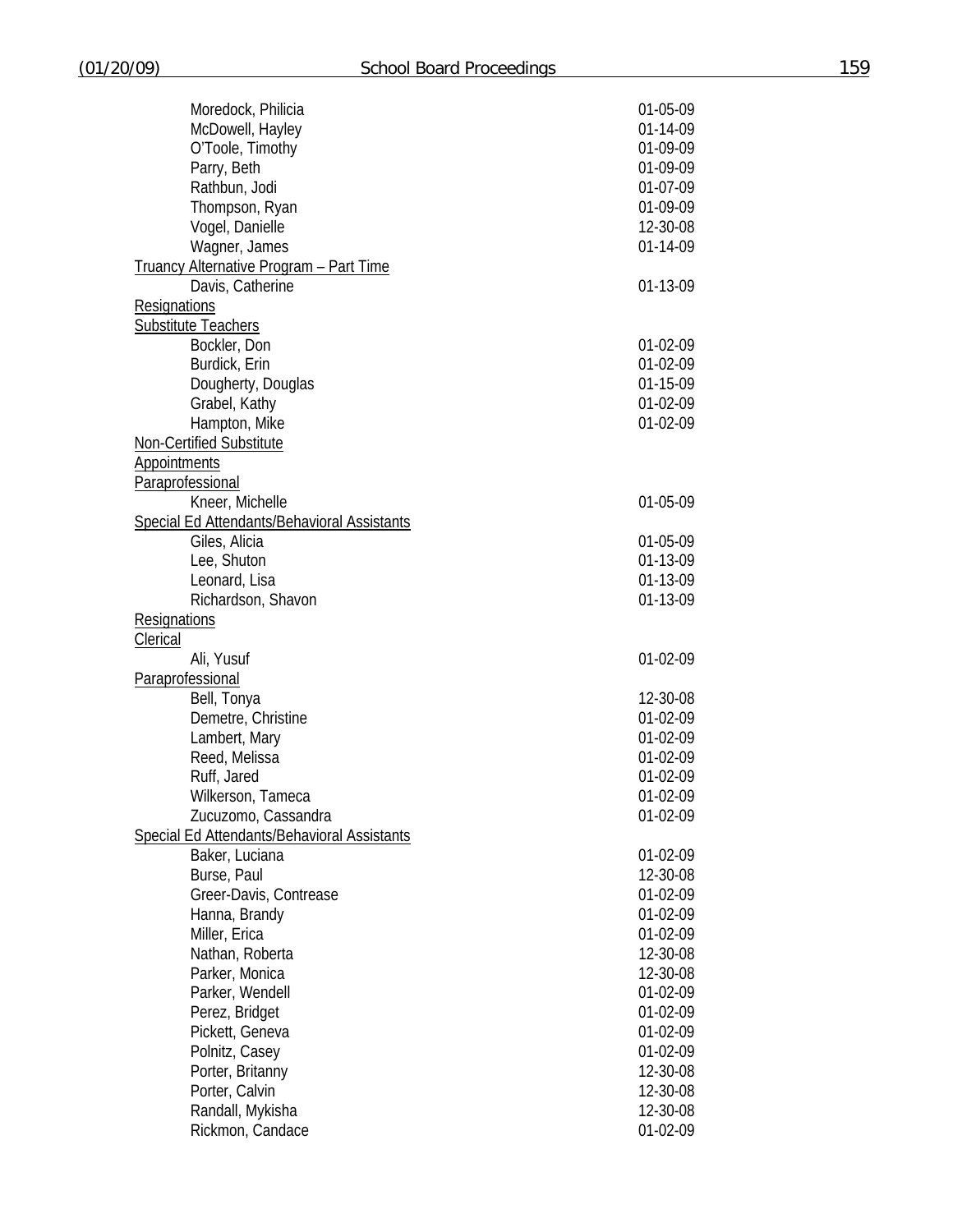| Moredock, Philicia                             | 01-05-09   |
|------------------------------------------------|------------|
| McDowell, Hayley                               | 01-14-09   |
| O'Toole, Timothy                               | 01-09-09   |
|                                                | 01-09-09   |
| Parry, Beth<br>Rathbun, Jodi                   | 01-07-09   |
|                                                |            |
| Thompson, Ryan                                 | 01-09-09   |
| Vogel, Danielle                                | 12-30-08   |
| Wagner, James                                  | 01-14-09   |
| <b>Truancy Alternative Program - Part Time</b> |            |
| Davis, Catherine                               | 01-13-09   |
| <b>Resignations</b>                            |            |
| <b>Substitute Teachers</b>                     |            |
| Bockler, Don                                   | 01-02-09   |
| Burdick, Erin                                  | 01-02-09   |
| Dougherty, Douglas                             | 01-15-09   |
| Grabel, Kathy                                  | 01-02-09   |
| Hampton, Mike                                  | 01-02-09   |
| Non-Certified Substitute                       |            |
| <b>Appointments</b>                            |            |
| Paraprofessional                               |            |
| Kneer, Michelle                                | 01-05-09   |
| Special Ed Attendants/Behavioral Assistants    |            |
| Giles, Alicia                                  | 01-05-09   |
| Lee, Shuton                                    | 01-13-09   |
| Leonard, Lisa                                  | 01-13-09   |
| Richardson, Shavon                             | 01-13-09   |
| <b>Resignations</b>                            |            |
| Clerical                                       |            |
| Ali, Yusuf                                     | 01-02-09   |
| Paraprofessional                               |            |
| Bell, Tonya                                    | 12-30-08   |
| Demetre, Christine                             | 01-02-09   |
| Lambert, Mary                                  | 01-02-09   |
| Reed, Melissa                                  | 01-02-09   |
| Ruff, Jared                                    | 01-02-09   |
| Wilkerson, Tameca                              | 01-02-09   |
| Zucuzomo, Cassandra                            | 01-02-09   |
| Special Ed Attendants/Behavioral Assistants    |            |
| Baker, Luciana                                 | 01-02-09   |
| Burse, Paul                                    | 12-30-08   |
| Greer-Davis, Contrease                         | $01-02-09$ |
| Hanna, Brandy                                  | 01-02-09   |
| Miller, Erica                                  | 01-02-09   |
| Nathan, Roberta                                | 12-30-08   |
| Parker, Monica                                 | 12-30-08   |
| Parker, Wendell                                | 01-02-09   |
| Perez, Bridget                                 | 01-02-09   |
| Pickett, Geneva                                | 01-02-09   |
| Polnitz, Casey                                 | 01-02-09   |
| Porter, Britanny                               | 12-30-08   |
| Porter, Calvin                                 | 12-30-08   |
| Randall, Mykisha                               | 12-30-08   |
| Rickmon, Candace                               | 01-02-09   |
|                                                |            |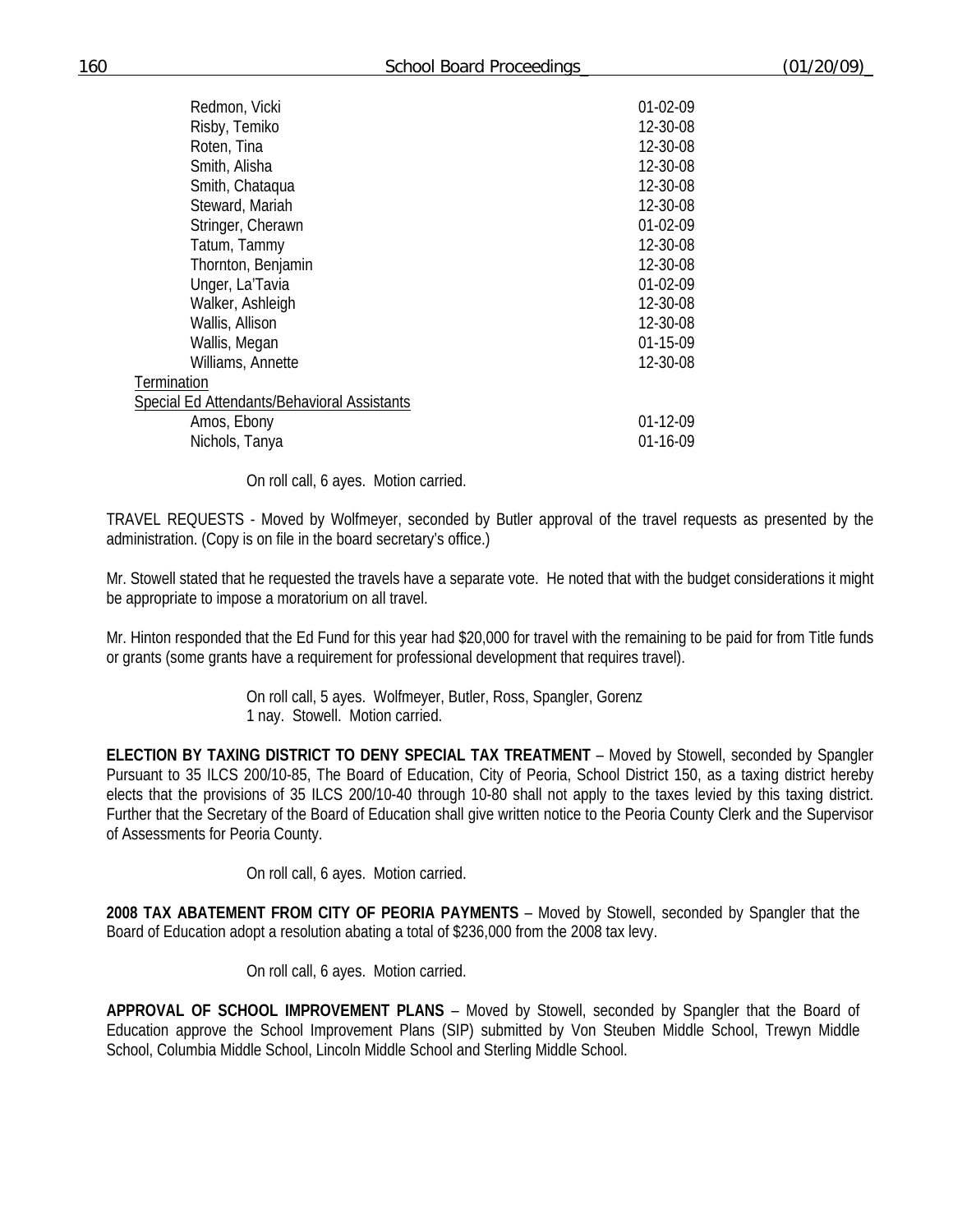160 School Board Proceedings\_ (01/20/09)\_

| Redmon, Vicki                               | 01-02-09       |
|---------------------------------------------|----------------|
| Risby, Temiko                               | 12-30-08       |
| Roten, Tina                                 | 12-30-08       |
| Smith, Alisha                               | 12-30-08       |
| Smith, Chataqua                             | 12-30-08       |
| Steward, Mariah                             | 12-30-08       |
| Stringer, Cherawn                           | 01-02-09       |
| Tatum, Tammy                                | 12-30-08       |
| Thornton, Benjamin                          | 12-30-08       |
| Unger, La'Tavia                             | 01-02-09       |
| Walker, Ashleigh                            | 12-30-08       |
| Wallis, Allison                             | 12-30-08       |
| Wallis, Megan                               | 01-15-09       |
| Williams, Annette                           | 12-30-08       |
| Termination                                 |                |
| Special Ed Attendants/Behavioral Assistants |                |
| Amos, Ebony                                 | $01 - 12 - 09$ |
| Nichols, Tanya                              | 01-16-09       |
|                                             |                |

On roll call, 6 ayes. Motion carried.

TRAVEL REQUESTS - Moved by Wolfmeyer, seconded by Butler approval of the travel requests as presented by the administration. (Copy is on file in the board secretary's office.)

Mr. Stowell stated that he requested the travels have a separate vote. He noted that with the budget considerations it might be appropriate to impose a moratorium on all travel.

Mr. Hinton responded that the Ed Fund for this year had \$20,000 for travel with the remaining to be paid for from Title funds or grants (some grants have a requirement for professional development that requires travel).

> On roll call, 5 ayes. Wolfmeyer, Butler, Ross, Spangler, Gorenz 1 nay. Stowell. Motion carried.

**ELECTION BY TAXING DISTRICT TO DENY SPECIAL TAX TREATMENT** – Moved by Stowell, seconded by Spangler Pursuant to 35 ILCS 200/10-85, The Board of Education, City of Peoria, School District 150, as a taxing district hereby elects that the provisions of 35 ILCS 200/10-40 through 10-80 shall not apply to the taxes levied by this taxing district. Further that the Secretary of the Board of Education shall give written notice to the Peoria County Clerk and the Supervisor of Assessments for Peoria County.

On roll call, 6 ayes. Motion carried.

**2008 TAX ABATEMENT FROM CITY OF PEORIA PAYMENTS** – Moved by Stowell, seconded by Spangler that the Board of Education adopt a resolution abating a total of \$236,000 from the 2008 tax levy.

On roll call, 6 ayes. Motion carried.

**APPROVAL OF SCHOOL IMPROVEMENT PLANS** – Moved by Stowell, seconded by Spangler that the Board of Education approve the School Improvement Plans (SIP) submitted by Von Steuben Middle School, Trewyn Middle School, Columbia Middle School, Lincoln Middle School and Sterling Middle School.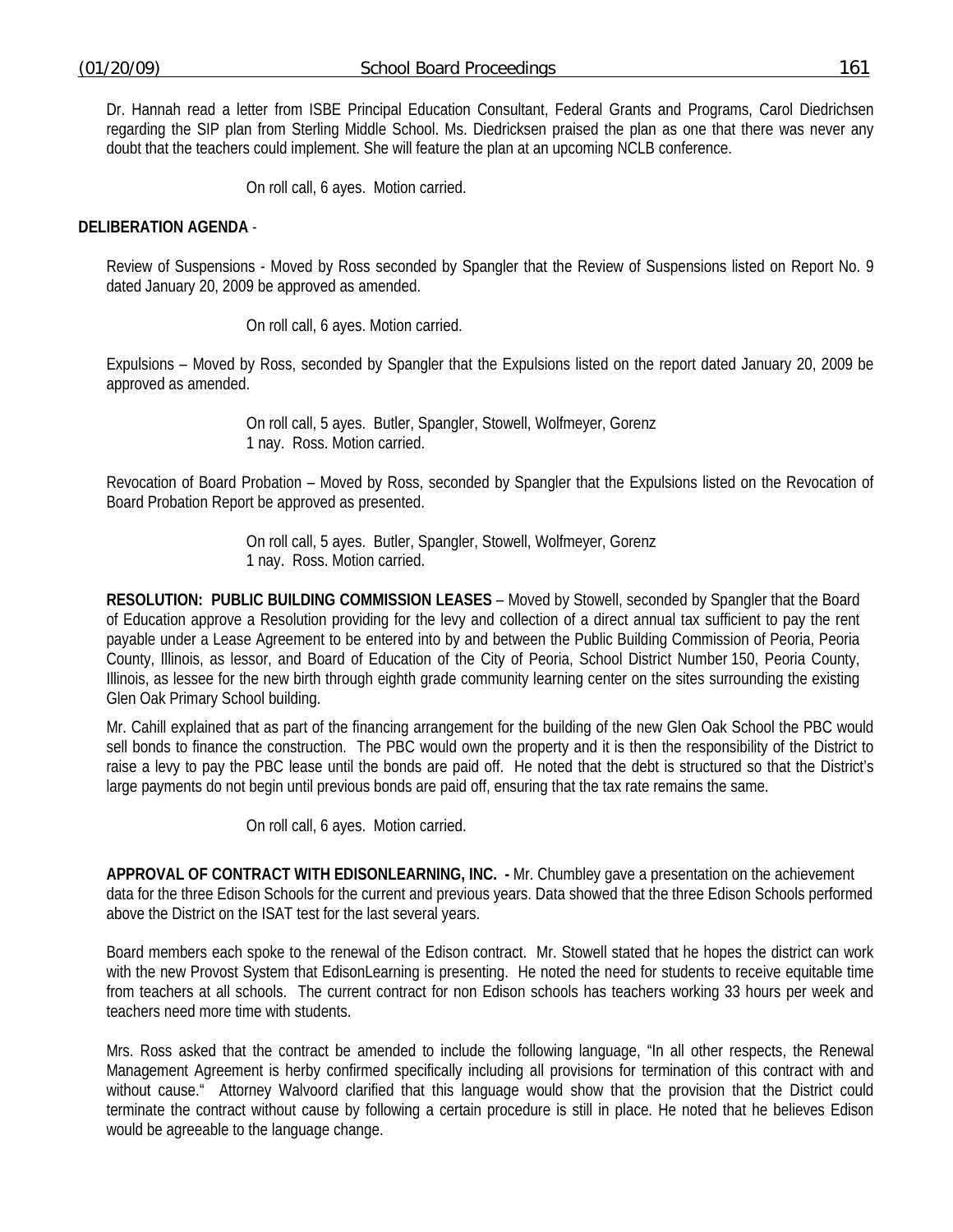Dr. Hannah read a letter from ISBE Principal Education Consultant, Federal Grants and Programs, Carol Diedrichsen regarding the SIP plan from Sterling Middle School. Ms. Diedricksen praised the plan as one that there was never any doubt that the teachers could implement. She will feature the plan at an upcoming NCLB conference.

On roll call, 6 ayes. Motion carried.

## **DELIBERATION AGENDA** -

Review of Suspensions - Moved by Ross seconded by Spangler that the Review of Suspensions listed on Report No. 9 dated January 20, 2009 be approved as amended.

On roll call, 6 ayes. Motion carried.

Expulsions – Moved by Ross, seconded by Spangler that the Expulsions listed on the report dated January 20, 2009 be approved as amended.

> On roll call, 5 ayes. Butler, Spangler, Stowell, Wolfmeyer, Gorenz 1 nay. Ross. Motion carried.

Revocation of Board Probation – Moved by Ross, seconded by Spangler that the Expulsions listed on the Revocation of Board Probation Report be approved as presented.

> On roll call, 5 ayes. Butler, Spangler, Stowell, Wolfmeyer, Gorenz 1 nay. Ross. Motion carried.

**RESOLUTION: PUBLIC BUILDING COMMISSION LEASES** – Moved by Stowell, seconded by Spangler that the Board of Education approve a Resolution providing for the levy and collection of a direct annual tax sufficient to pay the rent payable under a Lease Agreement to be entered into by and between the Public Building Commission of Peoria, Peoria County, Illinois, as lessor, and Board of Education of the City of Peoria, School District Number 150, Peoria County, Illinois, as lessee for the new birth through eighth grade community learning center on the sites surrounding the existing Glen Oak Primary School building.

Mr. Cahill explained that as part of the financing arrangement for the building of the new Glen Oak School the PBC would sell bonds to finance the construction. The PBC would own the property and it is then the responsibility of the District to raise a levy to pay the PBC lease until the bonds are paid off. He noted that the debt is structured so that the District's large payments do not begin until previous bonds are paid off, ensuring that the tax rate remains the same.

On roll call, 6 ayes. Motion carried.

**APPROVAL OF CONTRACT WITH EDISONLEARNING, INC. -** Mr. Chumbley gave a presentation on the achievement data for the three Edison Schools for the current and previous years. Data showed that the three Edison Schools performed above the District on the ISAT test for the last several years.

Board members each spoke to the renewal of the Edison contract. Mr. Stowell stated that he hopes the district can work with the new Provost System that EdisonLearning is presenting. He noted the need for students to receive equitable time from teachers at all schools. The current contract for non Edison schools has teachers working 33 hours per week and teachers need more time with students.

Mrs. Ross asked that the contract be amended to include the following language, "In all other respects, the Renewal Management Agreement is herby confirmed specifically including all provisions for termination of this contract with and without cause." Attorney Walvoord clarified that this language would show that the provision that the District could terminate the contract without cause by following a certain procedure is still in place. He noted that he believes Edison would be agreeable to the language change.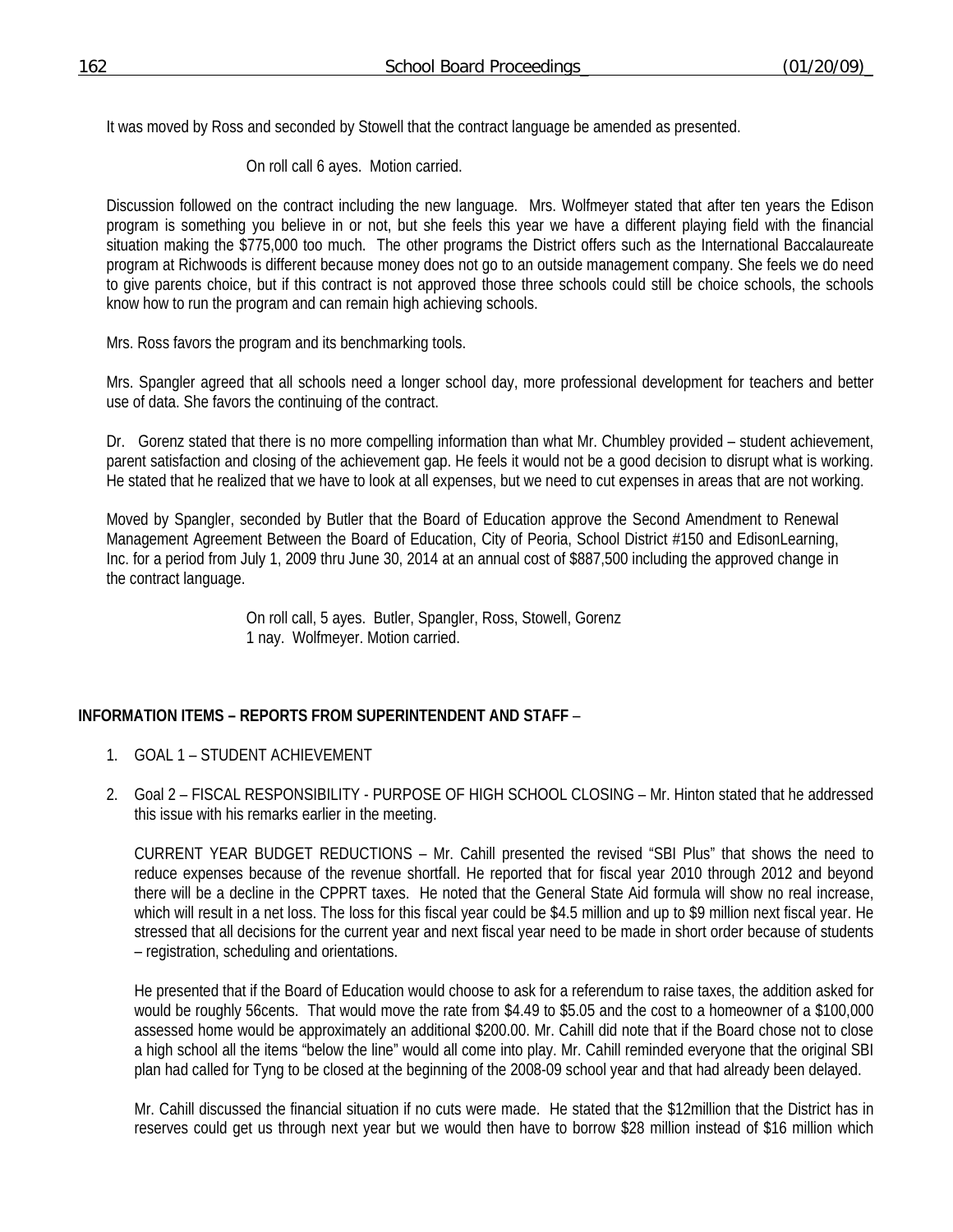It was moved by Ross and seconded by Stowell that the contract language be amended as presented.

On roll call 6 ayes. Motion carried.

Discussion followed on the contract including the new language. Mrs. Wolfmeyer stated that after ten years the Edison program is something you believe in or not, but she feels this year we have a different playing field with the financial situation making the \$775,000 too much. The other programs the District offers such as the International Baccalaureate program at Richwoods is different because money does not go to an outside management company. She feels we do need to give parents choice, but if this contract is not approved those three schools could still be choice schools, the schools know how to run the program and can remain high achieving schools.

Mrs. Ross favors the program and its benchmarking tools.

Mrs. Spangler agreed that all schools need a longer school day, more professional development for teachers and better use of data. She favors the continuing of the contract.

Dr. Gorenz stated that there is no more compelling information than what Mr. Chumbley provided – student achievement, parent satisfaction and closing of the achievement gap. He feels it would not be a good decision to disrupt what is working. He stated that he realized that we have to look at all expenses, but we need to cut expenses in areas that are not working.

Moved by Spangler, seconded by Butler that the Board of Education approve the Second Amendment to Renewal Management Agreement Between the Board of Education, City of Peoria, School District #150 and EdisonLearning, Inc. for a period from July 1, 2009 thru June 30, 2014 at an annual cost of \$887,500 including the approved change in the contract language.

> On roll call, 5 ayes. Butler, Spangler, Ross, Stowell, Gorenz 1 nay. Wolfmeyer. Motion carried.

## **INFORMATION ITEMS – REPORTS FROM SUPERINTENDENT AND STAFF** –

- 1. GOAL 1 STUDENT ACHIEVEMENT
- 2. Goal 2 FISCAL RESPONSIBILITY PURPOSE OF HIGH SCHOOL CLOSING Mr. Hinton stated that he addressed this issue with his remarks earlier in the meeting.

CURRENT YEAR BUDGET REDUCTIONS – Mr. Cahill presented the revised "SBI Plus" that shows the need to reduce expenses because of the revenue shortfall. He reported that for fiscal year 2010 through 2012 and beyond there will be a decline in the CPPRT taxes. He noted that the General State Aid formula will show no real increase, which will result in a net loss. The loss for this fiscal year could be \$4.5 million and up to \$9 million next fiscal year. He stressed that all decisions for the current year and next fiscal year need to be made in short order because of students – registration, scheduling and orientations.

He presented that if the Board of Education would choose to ask for a referendum to raise taxes, the addition asked for would be roughly 56cents. That would move the rate from \$4.49 to \$5.05 and the cost to a homeowner of a \$100,000 assessed home would be approximately an additional \$200.00. Mr. Cahill did note that if the Board chose not to close a high school all the items "below the line" would all come into play. Mr. Cahill reminded everyone that the original SBI plan had called for Tyng to be closed at the beginning of the 2008-09 school year and that had already been delayed.

Mr. Cahill discussed the financial situation if no cuts were made. He stated that the \$12million that the District has in reserves could get us through next year but we would then have to borrow \$28 million instead of \$16 million which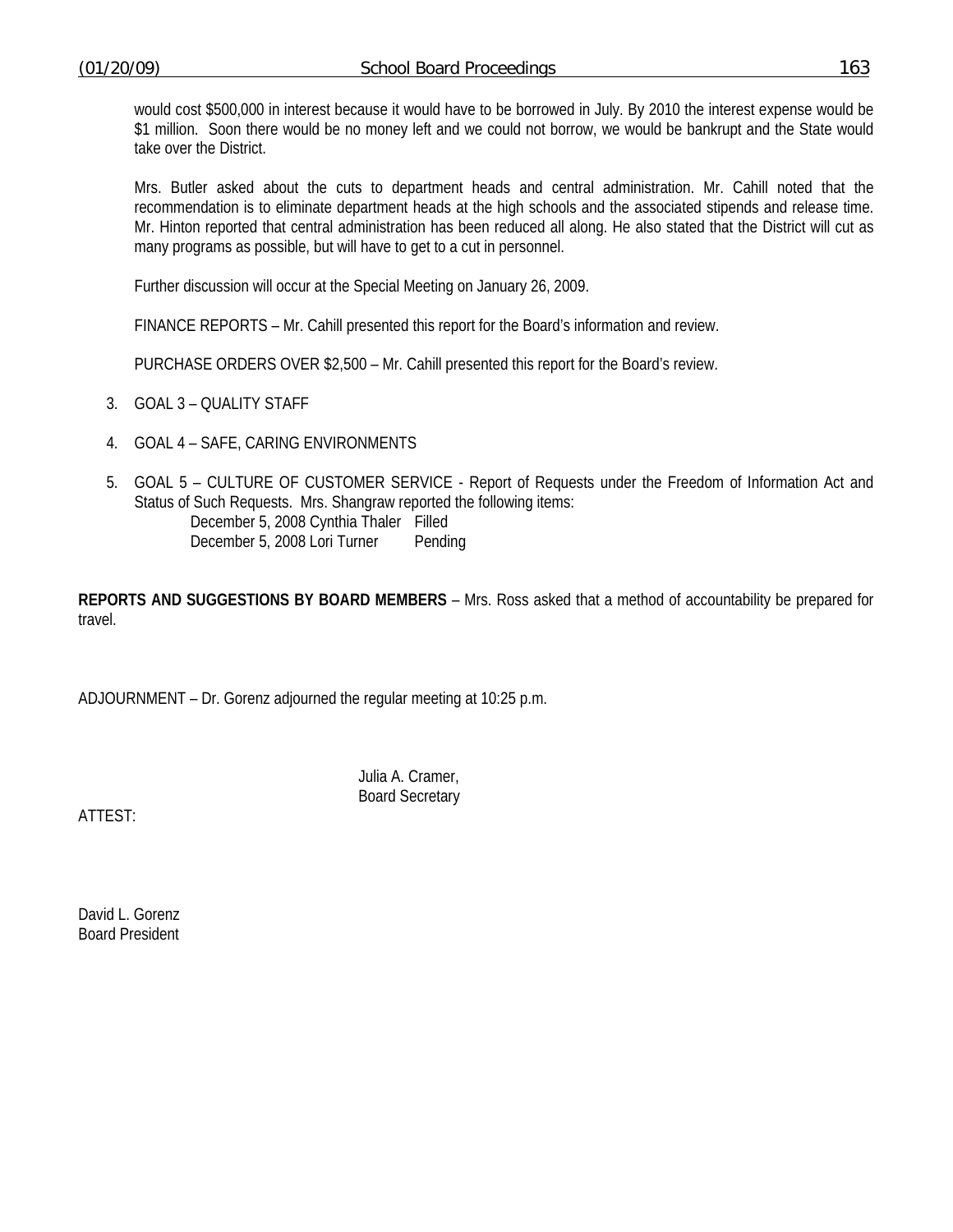would cost \$500,000 in interest because it would have to be borrowed in July. By 2010 the interest expense would be \$1 million. Soon there would be no money left and we could not borrow, we would be bankrupt and the State would take over the District.

Mrs. Butler asked about the cuts to department heads and central administration. Mr. Cahill noted that the recommendation is to eliminate department heads at the high schools and the associated stipends and release time. Mr. Hinton reported that central administration has been reduced all along. He also stated that the District will cut as many programs as possible, but will have to get to a cut in personnel.

Further discussion will occur at the Special Meeting on January 26, 2009.

FINANCE REPORTS – Mr. Cahill presented this report for the Board's information and review.

PURCHASE ORDERS OVER \$2,500 – Mr. Cahill presented this report for the Board's review.

- 3. GOAL 3 QUALITY STAFF
- 4. GOAL 4 SAFE, CARING ENVIRONMENTS
- 5. GOAL 5 CULTURE OF CUSTOMER SERVICE Report of Requests under the Freedom of Information Act and Status of Such Requests. Mrs. Shangraw reported the following items: December 5, 2008 Cynthia Thaler Filled December 5, 2008 Lori Turner Pending

**REPORTS AND SUGGESTIONS BY BOARD MEMBERS** – Mrs. Ross asked that a method of accountability be prepared for travel.

ADJOURNMENT – Dr. Gorenz adjourned the regular meeting at 10:25 p.m.

 Julia A. Cramer, Board Secretary

ATTEST:

David L. Gorenz Board President